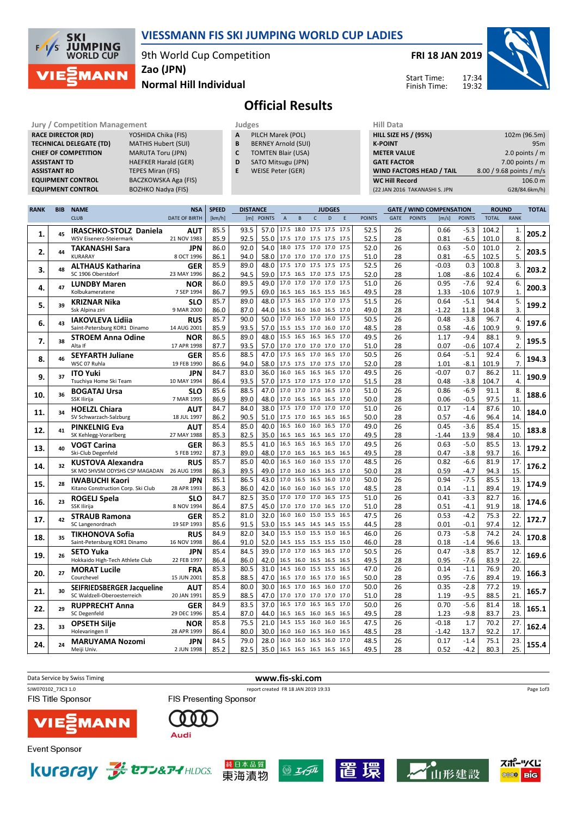

A PILCH Marek (POL) **B** BERNEY Arnold (SUI)<br>**C** TOMTEN Blair (USA) TOMTEN Blair (USA) D SATO Mitsugu (JPN) E WEISE Peter (GER)

9th World Cup Competition



Normal Hill Individual Zao (JPN)

FRI 18 JAN 2019



スポーツくじ

**Die 6000** 

山形建設

Start Time: Finish Time:

## Official Results

| <b>Jury / Competition Management</b> |                             | Judges |                 |
|--------------------------------------|-----------------------------|--------|-----------------|
| <b>RACE DIRECTOR (RD)</b>            | YOSHIDA Chika (FIS)         | A      | PIL             |
| <b>TECHNICAL DELEGATE (TD)</b>       | <b>MATHIS Hubert (SUI)</b>  | B      | <b>BEF</b>      |
| <b>CHIEF OF COMPETITION</b>          | <b>MARUTA Toru (JPN)</b>    | c      | TO              |
| <b>ASSISTANT TD</b>                  | <b>HAEFKER Harald (GER)</b> | D      | SA <sub>1</sub> |
| <b>ASSISTANT RD</b>                  | <b>TEPES Miran (FIS)</b>    | Е      | <b>WE</b>       |
| <b>EQUIPMENT CONTROL</b>             | <b>BACZKOWSKA Aga (FIS)</b> |        |                 |
| <b>EQUIPMENT CONTROL</b>             | <b>BOZHKO Nadya (FIS)</b>   |        |                 |

| Hill Data                       |                          |
|---------------------------------|--------------------------|
| <b>HILL SIZE HS / (95%)</b>     | 102m (96.5m)             |
| <b>K-POINT</b>                  | 95m                      |
| <b>METER VALUE</b>              | 2.0 points $/m$          |
| <b>GATE FACTOR</b>              | 7.00 points $/m$         |
| <b>WIND FACTORS HEAD / TAIL</b> | 8.00 / 9.68 points / m/s |
| <b>WC Hill Record</b>           | 106.0 m                  |
| (22 JAN 2016 TAKANASHI S. JPN   | G28/84.6km/h)            |
|                                 |                          |

| <b>RANK</b> | <b>BIB</b> | <b>NAME</b>                                                 | <b>NSA</b>                | <b>SPEED</b> | <b>DISTANCE</b>      |              |                |   | <b>GATE / WIND COMPENSATION</b><br><b>JUDGES</b> |                                                 |               |             | <b>ROUND</b>  |              | <b>TOTAL</b>     |              |              |       |
|-------------|------------|-------------------------------------------------------------|---------------------------|--------------|----------------------|--------------|----------------|---|--------------------------------------------------|-------------------------------------------------|---------------|-------------|---------------|--------------|------------------|--------------|--------------|-------|
|             |            | <b>CLUB</b>                                                 | <b>DATE OF BIRTH</b>      | [km/h]       | [m] POINTS           |              | $\overline{A}$ | B | D<br>$\mathsf{C}$                                | E                                               | <b>POINTS</b> | <b>GATE</b> | <b>POINTS</b> | [m/s]        | <b>POINTS</b>    | <b>TOTAL</b> | <b>RANK</b>  |       |
|             |            | IRASCHKO-STOLZ Daniela                                      | AUT                       | 85.5         | 93.5                 | 57.0         |                |   |                                                  | 17.5 18.0 17.5 17.5 17.5                        | 52.5          | 26          |               | 0.66         | $-5.3$           | 104.2        | 1.           |       |
| 1.          | 45         | WSV Eisenerz-Steiermark                                     | 21 NOV 1983               | 85.9         | 92.5                 | 55.0         |                |   |                                                  | 17.5 17.0 17.5 17.5 17.5                        | 52.5          | 28          |               | 0.81         | $-6.5$           | 101.0        | 8.           | 205.2 |
|             |            | <b>TAKANASHI Sara</b>                                       | <b>JPN</b>                | 86.0         | 92.0                 | 54.0         |                |   |                                                  | 18.0 17.5 17.0 17.0 17.5                        | 52.0          | 26          |               | 0.63         | $-5.0$           | 101.0        | 2.           |       |
| 2.          | 44         | <b>KURARAY</b>                                              | 8 OCT 1996                | 86.1         | 94.0                 | 58.0         |                |   |                                                  | 17.0 17.0 17.0 17.0 17.5                        | 51.0          | 28          |               | 0.81         | $-6.5$           | 102.5        | 5.           | 203.5 |
|             |            | <b>ALTHAUS Katharina</b>                                    | <b>GER</b>                | 85.9         | 89.0                 | 48.0         |                |   |                                                  | 17.5 17.0 17.5 17.5 17.5                        | 52.5          | 26          |               | $-0.03$      | 0.3              | 100.8        | 3.           |       |
| 3.          | 48         | SC 1906 Oberstdorf                                          | 23 MAY 1996               | 86.2         | 94.5                 | 59.0         |                |   |                                                  | 17.5 16.5 17.0 17.5 17.5                        | 52.0          | 28          |               | 1.08         | $-8.6$           | 102.4        | 6.           | 203.2 |
|             |            | <b>LUNDBY Maren</b>                                         | <b>NOR</b>                | 86.0         | 89.5                 | 49.0         |                |   |                                                  | 17.0 17.0 17.0 17.0 17.5                        | 51.0          | 26          |               | 0.95         | $-7.6$           | 92.4         | 6.           |       |
| 4.          | 47         | Kolbukameratene                                             | 7 SEP 1994                | 86.7         | 99.5                 | 69.0         |                |   |                                                  | 16.5 16.5 16.5 15.5 16.5                        | 49.5          | 28          |               | 1.33         | $-10.6$          | 107.9        | $\mathbf{1}$ | 200.3 |
|             |            | KRIZNAR Nika                                                | <b>SLO</b>                | 85.7         | 89.0                 | 48.0         |                |   |                                                  | 17.5 16.5 17.0 17.0 17.5                        | 51.5          | 26          |               | 0.64         | $-5.1$           | 94.4         | 5.           | 199.2 |
| 5.          | 39         | Ssk Alpina ziri                                             | 9 MAR 2000                | 86.0         | 87.0                 | 44.0         |                |   |                                                  | 16.5 16.0 16.0 16.5 17.0                        | 49.0          | 28          |               | -1.22        | 11.8             | 104.8        | 3.           |       |
|             | 43         | <b>IAKOVLEVA Lidija</b>                                     | <b>RUS</b>                | 85.7         | 90.0                 | 50.0         |                |   |                                                  | 17.0 16.5 17.0 16.0 17.5                        | 50.5          | 26          |               | 0.48         | $-3.8$           | 96.7         | 4.           | 197.6 |
| 6.          |            | Saint-Petersburg KOR1 Dinamo                                | 14 AUG 2001               | 85.9         | 93.5                 | 57.0         |                |   |                                                  | 15.5 15.5 17.0 16.0 17.0                        | 48.5          | 28          |               | 0.58         | $-4.6$           | 100.9        | 9.           |       |
| 7.          | 38         | <b>STROEM Anna Odine</b>                                    | <b>NOR</b>                | 86.5         | 89.0                 | 48.0         |                |   |                                                  | 15.5 16.5 16.5 16.5 17.0                        | 49.5          | 26          |               | 1.17         | $-9.4$           | 88.1         | 9.           | 195.5 |
|             |            | Alta If                                                     | 17 APR 1998               | 87.7         | 93.5                 | 57.0         |                |   |                                                  | 17.0 17.0 17.0 17.0 17.0                        | 51.0          | 28          |               | 0.07         | $-0.6$           | 107.4        | 2.           |       |
| 8.          | 46         | <b>SEYFARTH Juliane</b>                                     | <b>GER</b>                | 85.6         | 88.5                 | 47.0         |                |   |                                                  | 17.5 16.5 17.0 16.5 17.0                        | 50.5          | 26          |               | 0.64         | $-5.1$           | 92.4         | 6.           | 194.3 |
|             |            | WSC 07 Ruhla                                                | 19 FEB 1990               | 86.6         | 94.0                 | 58.0         |                |   |                                                  | 17.5 17.5 17.0 17.5 17.0                        | 52.0          | 28          |               | 1.01         | $-8.1$           | 101.9        | 7.           |       |
| 9.          | 37         | <b>ITO Yuki</b>                                             | <b>JPN</b>                | 84.7         | 83.0                 | 36.0         |                |   |                                                  | 16.0 16.5 16.5 16.5 17.0                        | 49.5          | 26          |               | $-0.07$      | 0.7              | 86.2         | 11.          | 190.9 |
|             |            | Tsuchiva Home Ski Team                                      | 10 MAY 1994               | 86.4         | 93.5                 | 57.0         |                |   |                                                  | 17.5 17.0 17.5 17.0 17.0                        | 51.5          | 28          |               | 0.48         | $-3.8$           | 104.7        | 4.           |       |
| 10.         | 36         | <b>BOGATAJ Ursa</b>                                         | <b>SLO</b>                | 85.6         | 88.5                 | 47.0         |                |   |                                                  | 17.0 17.0 17.0 16.5 17.0                        | 51.0          | 26          |               | 0.86         | $-6.9$           | 91.1         | 8.           | 188.6 |
|             |            | SSK Ilirija                                                 | 7 MAR 1995                | 86.9         | 89.0                 | 48.0         |                |   |                                                  | 17.0 16.5 16.5 16.5 17.0                        | 50.0          | 28          |               | 0.06         | $-0.5$           | 97.5         | 11.          |       |
| 11.         | 34         | <b>HOELZL Chiara</b>                                        | <b>AUT</b>                | 84.7         | 84.0                 | 38.0         |                |   |                                                  | 17.5 17.0 17.0 17.0 17.0                        | 51.0          | 26          |               | 0.17         | $-1.4$           | 87.6         | 10.          | 184.0 |
|             |            | SV Schwarzach-Salzburg                                      | 18 JUL 1997               | 86.2         | 90.5                 | 51.0         |                |   |                                                  | 17.5 17.0 16.5 16.5 16.5                        | 50.0          | 28          |               | 0.57         | $-4.6$           | 96.4         | 14.          |       |
| 12.         | 41         | <b>PINKELNIG Eva</b>                                        | AUT                       | 85.4         | 85.0                 | 40.0         |                |   |                                                  | 16.5 16.0 16.0 16.5 17.0                        | 49.0          | 26          |               | 0.45         | $-3.6$           | 85.4         | 15.          | 183.8 |
|             |            | SK Kehlegg-Vorarlberg                                       | 27 MAY 1988               | 85.3         | 82.5                 | 35.0         |                |   |                                                  | 16.5 16.5 16.5 16.5 17.0                        | 49.5          | 28          |               | $-1.44$      | 13.9             | 98.4         | 10.          |       |
| 13.         | 40         | <b>VOGT Carina</b>                                          | <b>GER</b>                | 86.3         | 85.5                 | 41.0         |                |   |                                                  | 16.5 16.5 16.5 16.5 17.0                        | 49.5          | 26<br>28    |               | 0.63         | $-5.0$           | 85.5         | 13.<br>16.   | 179.2 |
|             |            | Ski-Club Degenfeld                                          | 5 FEB 1992                | 87.3<br>85.7 | 89.0                 | 48.0<br>40.0 | 16.5           |   |                                                  | 17.0 16.5 16.5 16.5 16.5                        | 49.5          | 26          |               | 0.47         | $-3.8$<br>$-6.6$ | 93.7<br>81.9 |              |       |
| 14.         | 32         | <b>KUSTOVA Alexandra</b><br>SK MO SHVSM ODYSHS CSP MAGADAN  | <b>RUS</b><br>26 AUG 1998 | 86.3         | 85.0<br>89.5<br>49.0 |              |                |   |                                                  | 16.0 16.0 15.5 17.0<br>17.0 16.0 16.5 16.5 17.0 | 48.5          | 28          |               | 0.82<br>0.59 | $-4.7$           | 94.3         | 17.<br>15.   | 176.2 |
|             |            |                                                             |                           | 85.1         | 86.5                 | 43.0         |                |   |                                                  | 17.0 16.5 16.5 16.0 17.0                        | 50.0<br>50.0  | 26          |               |              | $-7.5$           | 85.5         |              |       |
| 15.         | 28         | <b>IWABUCHI Kaori</b><br>Kitano Construction Corp. Ski Club | <b>JPN</b><br>28 APR 1993 | 86.3         | 86.0                 | 42.0         |                |   |                                                  | 16.0 16.0 16.0 16.5 17.0                        | 48.5          | 28          |               | 0.94<br>0.14 | $-1.1$           | 89.4         | 13.<br>19.   | 174.9 |
|             |            |                                                             |                           | 84.7         | 82.5                 | 35.0         |                |   |                                                  | 17.0 17.0 17.0 16.5 17.5                        | 51.0          | 26          |               | 0.41         | $-3.3$           | 82.7         | 16.          |       |
| 16.         | 23         | ROGELJ Spela<br>SSK Ilirija                                 | <b>SLO</b><br>8 NOV 1994  | 86.4         | 87.5                 | 45.0         |                |   |                                                  | 17.0 17.0 17.0 16.5 17.0                        | 51.0          | 28          |               | 0.51         | $-4.1$           | 91.9         | 18.          | 174.6 |
|             |            | <b>STRAUB Ramona</b>                                        | <b>GER</b>                | 85.2         | 81.0                 | 32.0         |                |   |                                                  | 16.0 16.0 15.0 15.5 16.5                        | 47.5          | 26          |               | 0.53         | $-4.2$           | 75.3         | 22.          |       |
| 17.         | 42         | SC Langenordnach                                            | 19 SEP 1993               | 85.6         | 91.5                 | 53.0         |                |   |                                                  | 15.5 14.5 14.5 14.5 15.5                        | 44.5          | 28          |               | 0.01         | $-0.1$           | 97.4         | 12.          | 172.7 |
|             |            | <b>TIKHONOVA Sofia</b>                                      | <b>RUS</b>                | 84.9         | 82.0                 | 34.0         |                |   |                                                  | 15.5 15.0 15.5 15.0 16.5                        | 46.0          | 26          |               | 0.73         | $-5.8$           | 74.2         | 24.          |       |
| 18.         | 35         | Saint-Petersburg KOR1 Dinamo                                | 16 NOV 1998               | 86.4         | 91.0                 | 52.0         |                |   |                                                  | 14.5 15.5 15.5 15.5 15.0                        | 46.0          | 28          |               | 0.18         | $-1.4$           | 96.6         | 13.          | 170.8 |
|             |            | <b>SETO Yuka</b>                                            | <b>JPN</b>                | 85.4         | 84.5                 | 39.0         |                |   |                                                  | 17.0 17.0 16.5 16.5 17.0                        | 50.5          | 26          |               | 0.47         | $-3.8$           | 85.7         | 12.          |       |
| 19.         | 26         | Hokkaido High-Tech Athlete Club                             | 22 FEB 1997               | 86.4         | 86.0                 | 42.0         |                |   |                                                  | 16.5 16.0 16.5 16.5 16.5                        | 49.5          | 28          |               | 0.95         | $-7.6$           | 83.9         | 22.          | 169.6 |
|             |            | <b>MORAT Lucile</b>                                         | <b>FRA</b>                | 85.3         | 80.5                 | 31.0         |                |   |                                                  | 14.5 16.0 15.5 15.5 16.5                        | 47.0          | 26          |               | 0.14         | $-1.1$           | 76.9         | 20.          |       |
| 20.         | 27         | Courchevel                                                  | 15 JUN 2001               | 85.8         | 88.5                 | 47.0         |                |   |                                                  | 16.5 17.0 16.5 17.0 16.5                        | 50.0          | 28          |               | 0.95         | $-7.6$           | 89.4         | 19.          | 166.3 |
|             | 30         | <b>SEIFRIEDSBERGER Jacqueline</b>                           | AUT                       | 85.4         | 80.0                 | 30.0         |                |   |                                                  | 16.5 17.0 16.5 16.0 17.0                        | 50.0          | 26          |               | 0.35         | $-2.8$           | 77.2         | 19.          | 165.7 |
| 21.         |            | SC Waldzell-Oberoesterreich                                 | 20 JAN 1991               | 85.9         | 88.5                 | 47.0         |                |   |                                                  | 17.0 17.0 17.0 17.0 17.0                        | 51.0          | 28          |               | 1.19         | $-9.5$           | 88.5         | 21.          |       |
| 22.         | 29         | <b>RUPPRECHT Anna</b>                                       | <b>GER</b>                | 84.9         | 83.5                 | 37.0         |                |   |                                                  | 16.5 17.0 16.5 16.5 17.0                        | 50.0          | 26          |               | 0.70         | $-5.6$           | 81.4         | 18.          | 165.1 |
|             |            | <b>SC Degenfeld</b>                                         | 29 DEC 1996               | 85.4         | 87.0                 | 44.0         |                |   |                                                  | 16.5 16.5 16.0 16.5 16.5                        | 49.5          | 28          |               | 1.23         | $-9.8$           | 83.7         | 23.          |       |
| 23.         | 33         | <b>OPSETH Silje</b>                                         | <b>NOR</b>                | 85.8         | 75.5                 | 21.0         |                |   |                                                  | 14.5 15.5 16.0 16.0 16.5                        | 47.5          | 26          |               | $-0.18$      | 1.7              | 70.2         | 27.          | 162.4 |
|             |            | Holevaringen II                                             | 28 APR 1999               | 86.4         | 80.0                 | 30.0         |                |   |                                                  | 16.0 16.0 16.5 16.0 16.5                        | 48.5          | 28          |               | $-1.42$      | 13.7             | 92.2         | 17.          |       |
| 24.         | 24         | <b>MARUYAMA Nozomi</b>                                      | <b>JPN</b>                | 84.5         | 79.0                 | 28.0         |                |   |                                                  | 16.0 16.0 16.5 16.0 17.0                        | 48.5          | 26          |               | 0.17         | $-1.4$           | 75.1         | 23.          | 155.4 |
|             |            | Meiii Univ.                                                 | 2 JUN 1998                | 85.2         | 82.5                 |              |                |   |                                                  | 35.0 16.5 16.5 16.5 16.5 16.5                   | 49.5          | 28          |               | 0.52         | $-4.2$           | 80.3         | 25.          |       |









擐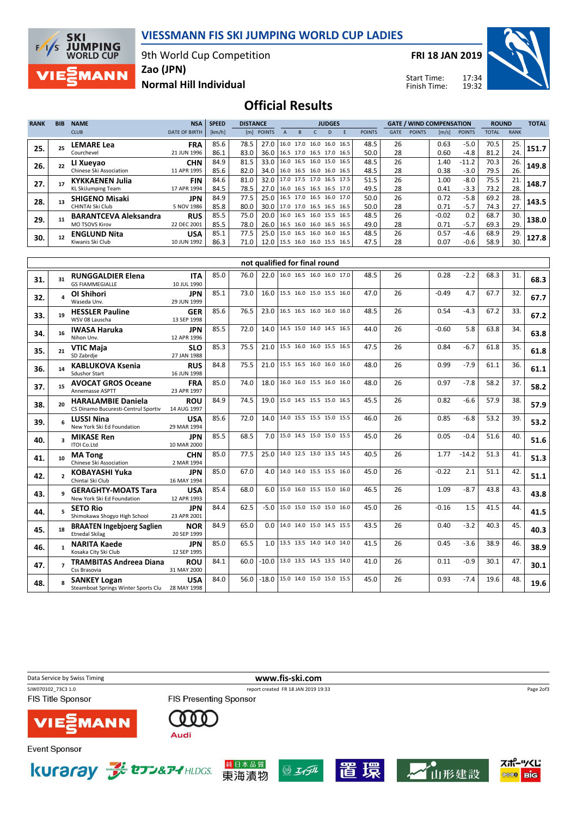VIESSMANN FIS SKI JUMPING WORLD CUP LADIES

9th World Cup Competition

**SKI JUMPING**<br>WORLD CUP  $F/1/S$ **MANN** 

Zao (JPN)

FRI 18 JAN 2019

Start Time: Finish Time:



## Normal Hill Individual

Official Results

| <b>RANK</b> | <b>BIB</b> | <b>NAME</b>                  | <b>NSA</b>           | <b>SPEED</b> | <b>DISTANCE</b> |                                 |  |                          | <b>JUDGES</b> |    |                          |               |             | <b>GATE / WIND COMPENSATION</b> |                       |               | <b>ROUND</b> |             | <b>TOTAL</b> |
|-------------|------------|------------------------------|----------------------|--------------|-----------------|---------------------------------|--|--------------------------|---------------|----|--------------------------|---------------|-------------|---------------------------------|-----------------------|---------------|--------------|-------------|--------------|
|             |            | <b>CLUB</b>                  | <b>DATE OF BIRTH</b> | [km/h]       |                 | [m] POINTS                      |  | R                        |               | D. |                          | <b>POINTS</b> | <b>GATE</b> | <b>POINTS</b>                   | $\lfloor m/s \rfloor$ | <b>POINTS</b> | <b>TOTAL</b> | <b>RANK</b> |              |
| 25.         |            | <b>LEMARE Lea</b>            | <b>FRA</b>           | 85.6         | 78.5            | 27.0                            |  |                          |               |    | 16.0 17.0 16.0 16.0 16.5 | 48.5          | 26          |                                 | 0.63                  | $-5.0$        | 70.5         | 25.         | 151.7        |
|             |            | Courchevel                   | 21 JUN 1996          | 86.1         | 83.0            | 36.0                            |  | 16.5 17.0 16.5 17.0 16.5 |               |    |                          | 50.0          | 28          |                                 | 0.60                  | $-4.8$        | 81.2         | 24.         |              |
| 26.         |            | LI Xueyao                    | <b>CHN</b>           | 84.9         | 81.5            | 33.0                            |  |                          |               |    | 16.0 16.5 16.0 15.0 16.5 | 48.5          | 26          |                                 | 1.40                  | $-11.2$       | 70.3         | 26.         | 149.8        |
|             |            | Chinese Ski Association      | 11 APR 1995          | 85.6         | 82.0            | 34.0                            |  |                          |               |    | 16.0 16.5 16.0 16.0 16.5 | 48.5          | 28          |                                 | 0.38                  | $-3.0$        | 79.5         | 26.         |              |
| 27.         |            | <b>KYKKAENEN Julia</b>       | <b>FIN</b>           | 84.6         | 81.0            | 32.0                            |  |                          |               |    | 17.0 17.5 17.0 16.5 17.5 | 51.5          | 26          |                                 | 1.00                  | $-8.0$        | 75.5         | 21.         | 148.7        |
|             |            | <b>KL SkiJumping Team</b>    | 17 APR 1994          | 84.5         | 78.5            | 27.0 16.0 16.5 16.5 16.5 17.0   |  |                          |               |    |                          | 49.5          | 28          |                                 | 0.41                  | $-3.3$        | 73.2         | 28.         |              |
| 28.         | 13         | <b>SHIGENO Misaki</b>        | <b>JPN</b>           | 84.9         | 77.5            | 25.0   16.5 17.0 16.5 16.0 17.0 |  |                          |               |    |                          | 50.0          | 26          |                                 | 0.72                  | $-5.8$        | 69.2         | 28.         | 143.5        |
|             |            | CHINTAI Ski Club             | 5 NOV 1986           | 85.8         | 80.0            | 30.0                            |  |                          |               |    | 17.0 17.0 16.5 16.5 16.5 | 50.0          | 28          |                                 | 0.71                  | $-5.7$        | 74.3         | 27.         |              |
| 29.         | 11         | <b>BARANTCEVA Aleksandra</b> | <b>RUS</b>           | 85.5         | 75.0            | 20.0                            |  |                          |               |    | 16.0 16.5 16.0 15.5 16.5 | 48.5          | 26          |                                 | $-0.02$               | 0.2           | 68.7         | 30.         | 138.0        |
|             |            | <b>MO TSOVS Kirov</b>        | 22 DEC 2001          | 85.5         | 78.0            | 26.0                            |  |                          |               |    | 16.5 16.0 16.0 16.5 16.5 | 49.0          | 28          |                                 | 0.71                  | $-5.7$        | 69.3         | 29.         |              |
| 30.         | 12         | <b>ENGLUND Nita</b>          | <b>USA</b>           | 85.1         | 77.5            | 25.0                            |  |                          |               |    | 15.0 16.5 16.0 16.0 16.5 | 48.5          | 26          |                                 | 0.57                  | -4.6          | 68.9         | 29.         | 127.8        |
|             |            | Kiwanis Ski Club             | 10 JUN 1992          | 86.3         | 71.0            | 12.0                            |  | 15.5 16.0 16.0 15.5 16.5 |               |    |                          | 47.5          | 28          |                                 | 0.07                  | $-0.6$        | 58.9         | 30.         |              |

|     |                         |                                                                        |                           |      |      |                  | not qualified for final round    |  |      |    |         |         |      |     |      |
|-----|-------------------------|------------------------------------------------------------------------|---------------------------|------|------|------------------|----------------------------------|--|------|----|---------|---------|------|-----|------|
| 31. | 31                      | <b>RUNGGALDIER Elena</b><br><b>GS FIAMMEGIALLE</b>                     | <b>ITA</b><br>10 JUL 1990 | 85.0 | 76.0 |                  | 22.0 16.0 16.5 16.0 16.0 17.0    |  | 48.5 | 26 | 0.28    | $-2.2$  | 68.3 | 31. | 68.3 |
| 32. |                         | OI Shihori<br>Waseda Unv.                                              | <b>JPN</b><br>29 JUN 1999 | 85.1 | 73.0 |                  | 16.0   15.5 16.0 15.0 15.5 16.0  |  | 47.0 | 26 | $-0.49$ | 4.7     | 67.7 | 32. | 67.7 |
| 33. | 19                      | <b>HESSLER Pauline</b><br>WSV 08 Lauscha                               | <b>GER</b><br>13 SEP 1998 | 85.6 | 76.5 | 23.0             | 16.5 16.5 16.0 16.0 16.0         |  | 48.5 | 26 | 0.54    | $-4.3$  | 67.2 | 33. | 67.2 |
| 34. | 16                      | <b>IWASA Haruka</b><br>Nihon Unv.                                      | <b>JPN</b><br>12 APR 1996 | 85.5 | 72.0 | 14.0             | 14.5 15.0 14.0 14.5 16.5         |  | 44.0 | 26 | $-0.60$ | 5.8     | 63.8 | 34. | 63.8 |
| 35. | 21                      | <b>VTIC Maja</b><br>SD Zabrdje                                         | <b>SLO</b><br>27 JAN 1988 | 85.3 | 75.5 | 21.0             | 15.5 16.0 16.0 15.5 16.5         |  | 47.5 | 26 | 0.84    | $-6.7$  | 61.8 | 35. | 61.8 |
| 36. | 14                      | <b>KABLUKOVA Ksenia</b><br><b>Sdushor Start</b>                        | <b>RUS</b><br>16 JUN 1998 | 84.8 | 75.5 |                  | 21.0   15.5 16.5 16.0 16.0 16.0  |  | 48.0 | 26 | 0.99    | $-7.9$  | 61.1 | 36. | 61.1 |
| 37. | 15                      | <b>AVOCAT GROS Oceane</b><br><b>Annemasse ASPTT</b>                    | <b>FRA</b><br>23 APR 1997 | 85.0 | 74.0 | 18.0             | 16.0 16.0 15.5 16.0 16.0         |  | 48.0 | 26 | 0.97    | $-7.8$  | 58.2 | 37. | 58.2 |
| 38. | 20                      | <b>HARALAMBIE Daniela</b><br>CS Dinamo Bucuresti-Centrul Sportiv       | <b>ROU</b><br>14 AUG 1997 | 84.9 | 74.5 |                  | 19.0 15.0 14.5 15.5 15.0 16.5    |  | 45.5 | 26 | 0.82    | $-6.6$  | 57.9 | 38. | 57.9 |
| 39. |                         | <b>LUSSI Nina</b><br>New York Ski Ed Foundation                        | <b>USA</b><br>29 MAR 1994 | 85.6 | 72.0 | 14.0             | 14.0 15.5 15.5 15.0 15.5         |  | 46.0 | 26 | 0.85    | $-6.8$  | 53.2 | 39. | 53.2 |
| 40. | $\overline{\mathbf{a}}$ | <b>MIKASE Ren</b><br><b>ITOI Co.Ltd</b>                                | <b>JPN</b><br>10 MAR 2000 | 85.5 | 68.5 |                  | 7.0   15.0 14.5 15.0 15.0 15.5   |  | 45.0 | 26 | 0.05    | $-0.4$  | 51.6 | 40. | 51.6 |
| 41. | 10                      | <b>MA Tong</b><br>Chinese Ski Association                              | <b>CHN</b><br>2 MAR 1994  | 85.0 | 77.5 | 25.0             | 14.0 12.5 13.0 13.5 14.5         |  | 40.5 | 26 | 1.77    | $-14.2$ | 51.3 | 41. | 51.3 |
| 42. | $\overline{ }$          | <b>KOBAYASHI Yuka</b><br>Chintai Ski Club                              | <b>JPN</b><br>16 MAY 1994 | 85.0 | 67.0 | 4.0              | 14.0 14.0 15.5 15.5 16.0         |  | 45.0 | 26 | $-0.22$ | 2.1     | 51.1 | 42. | 51.1 |
| 43. |                         | <b>GERAGHTY-MOATS Tara</b><br>New York Ski Ed Foundation               | <b>USA</b><br>12 APR 1993 | 85.4 | 68.0 | 6.0              | 15.0 16.0 15.5 15.0 16.0         |  | 46.5 | 26 | 1.09    | $-8.7$  | 43.8 | 43. | 43.8 |
| 44. |                         | <b>SETO Rio</b><br>Shimokawa Shogyo High School                        | <b>JPN</b><br>23 APR 2001 | 84.4 | 62.5 | $-5.0$ l         | 15.0 15.0 15.0 15.0 16.0         |  | 45.0 | 26 | $-0.16$ | 1.5     | 41.5 | 44. | 41.5 |
| 45. | 18                      | <b>BRAATEN Ingebjoerg Saglien</b><br><b>Etnedal Skilag</b>             | <b>NOR</b><br>20 SEP 1999 | 84.9 | 65.0 | 0.01             | 14.0 14.0 15.0 14.5 15.5         |  | 43.5 | 26 | 0.40    | $-3.2$  | 40.3 | 45. | 40.3 |
| 46. |                         | <b>NARITA Kaede</b><br>Kosaka City Ski Club                            | <b>JPN</b><br>12 SEP 1995 | 85.0 | 65.5 | 1.0 <sub>1</sub> | 13.5 13.5 14.0 14.0 14.0         |  | 41.5 | 26 | 0.45    | $-3.6$  | 38.9 | 46. | 38.9 |
| 47. |                         | <b>TRAMBITAS Andreea Diana</b><br>Css Brasovia                         | <b>ROU</b><br>31 MAY 2000 | 84.1 | 60.0 | $-10.0$          | 13.0 13.5 14.5 13.5 14.0         |  | 41.0 | 26 | 0.11    | $-0.9$  | 30.1 | 47. | 30.1 |
| 48. |                         | <b>SANKEY Logan</b><br>Steamboat Springs Winter Sports Clu 28 MAY 1998 | <b>USA</b>                | 84.0 | 56.0 |                  | $-18.0$ 15.0 14.0 15.0 15.0 15.5 |  | 45.0 | 26 | 0.93    | $-7.4$  | 19.6 | 48. | 19.6 |